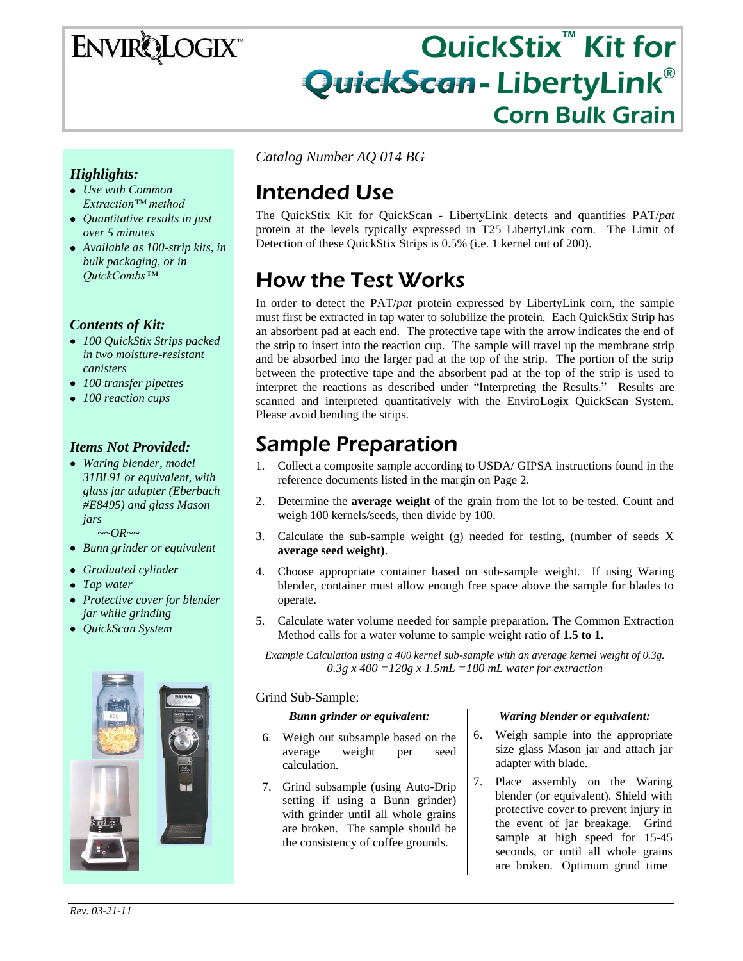# ENVIRQLOGIX

## QuickStix<sup>™</sup> Kit for QuickScan-LibertyLink® I Corn Bulk Grain

### *Highlights:*

- *Use with Common Extraction™ method*
- *Quantitative results in just over 5 minutes*
- *Available as 100-strip kits, in bulk packaging, or in QuickCombs™*

#### *Contents of Kit:*

- *100 QuickStix Strips packed in two moisture-resistant canisters*
- *100 transfer pipettes*
- *100 reaction cups*

### *Items Not Provided:*

*Waring blender, model 31BL91 or equivalent, with glass jar adapter (Eberbach #E8495) and glass Mason jars*

 *~~OR~~*

- *Bunn grinder or equivalent*
- *Graduated cylinder*
- *Tap water*
- *Protective cover for blender jar while grinding*
- *QuickScan System*



*Catalog Number AQ 014 BG*

# Intended Use

The QuickStix Kit for QuickScan - LibertyLink detects and quantifies PAT/*pat* protein at the levels typically expressed in T25 LibertyLink corn. The Limit of Detection of these QuickStix Strips is 0.5% (i.e. 1 kernel out of 200).

# How the Test Works

In order to detect the PAT/*pat* protein expressed by LibertyLink corn, the sample must first be extracted in tap water to solubilize the protein. Each QuickStix Strip has an absorbent pad at each end. The protective tape with the arrow indicates the end of the strip to insert into the reaction cup. The sample will travel up the membrane strip and be absorbed into the larger pad at the top of the strip. The portion of the strip between the protective tape and the absorbent pad at the top of the strip is used to interpret the reactions as described under "Interpreting the Results." Results are scanned and interpreted quantitatively with the EnviroLogix QuickScan System. Please avoid bending the strips.

### Sample Preparation

- 1. Collect a composite sample according to USDA/ GIPSA instructions found in the reference documents listed in the margin on Page 2.
- 2. Determine the **average weight** of the grain from the lot to be tested. Count and weigh 100 kernels/seeds, then divide by 100.
- 3. Calculate the sub-sample weight (g) needed for testing, (number of seeds X **average seed weight)**.
- 4. Choose appropriate container based on sub-sample weight. If using Waring blender, container must allow enough free space above the sample for blades to operate.
- 5. Calculate water volume needed for sample preparation. The Common Extraction Method calls for a water volume to sample weight ratio of **1.5 to 1.**

*Example Calculation using a 400 kernel sub-sample with an average kernel weight of 0.3g. 0.3g x 400 =120g x 1.5mL =180 mL water for extraction*

#### Grind Sub-Sample:

|    | Bunn grinder or equivalent:                                                                                                                                                              |    | Waring blender or equivalent:                                                                                                                                                                                                                               |
|----|------------------------------------------------------------------------------------------------------------------------------------------------------------------------------------------|----|-------------------------------------------------------------------------------------------------------------------------------------------------------------------------------------------------------------------------------------------------------------|
| 6. | Weigh out subsample based on the<br>average weight<br>seed<br>per<br>calculation.                                                                                                        | 6. | Weigh sample into the appropriate<br>size glass Mason jar and attach jar<br>adapter with blade.                                                                                                                                                             |
|    | 7. Grind subsample (using Auto-Drip<br>setting if using a Bunn grinder)<br>with grinder until all whole grains<br>are broken. The sample should be<br>the consistency of coffee grounds. | 7. | Place assembly on the Waring<br>blender (or equivalent). Shield with<br>protective cover to prevent injury in<br>the event of jar breakage. Grind<br>sample at high speed for 15-45<br>seconds, or until all whole grains<br>are broken. Optimum grind time |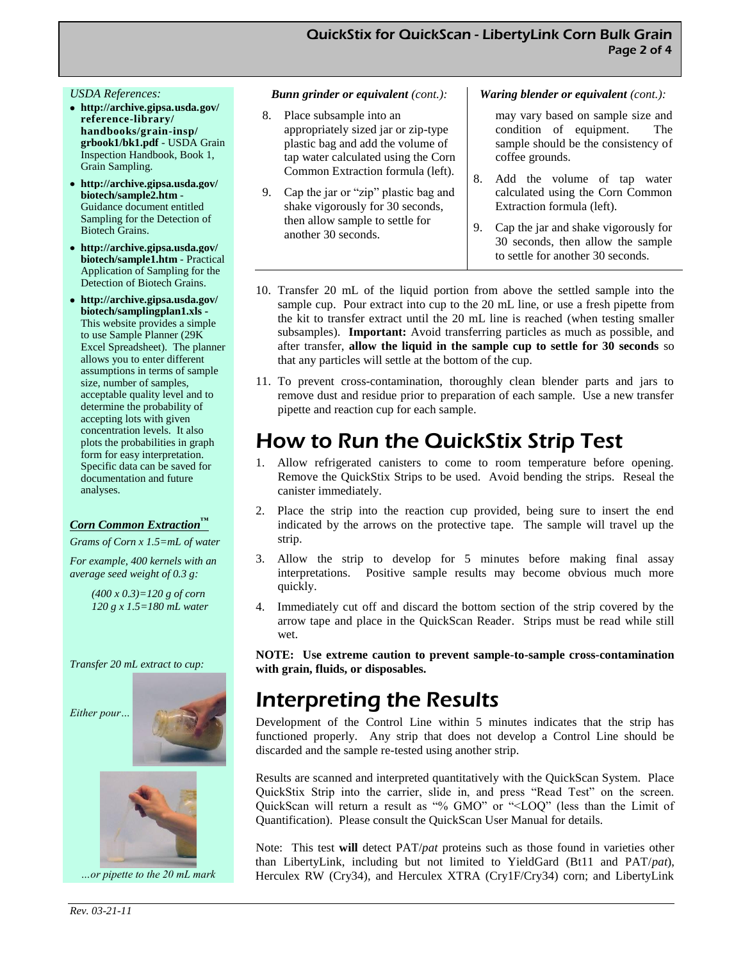#### *USDA References:*

- **http://archive.gipsa.usda.gov/ reference-library/ handbooks/grain-insp/ grbook1/bk1.pdf** - USDA Grain Inspection Handbook, Book 1, Grain Sampling.
- **http://archive.gipsa.usda.gov/ biotech/sample2.htm** - Guidance document entitled Sampling for the Detection of Biotech Grains.
- **http://archive.gipsa.usda.gov/ biotech/sample1.htm** - Practical Application of Sampling for the Detection of Biotech Grains.
- **http://archive.gipsa.usda.gov/ biotech/samplingplan1.xls -** This website provides a simple to use Sample Planner (29K Excel Spreadsheet). The planner allows you to enter different assumptions in terms of sample size, number of samples, acceptable quality level and to determine the probability of accepting lots with given concentration levels. It also plots the probabilities in graph form for easy interpretation. Specific data can be saved for documentation and future analyses.

#### *Corn Common Extraction™*

*Grams of Corn x 1.5=mL of water*

*For example, 400 kernels with an average seed weight of 0.3 g:*

> *(400 x 0.3)=120 g of corn 120 g x 1.5=180 mL water*

*Transfer 20 mL extract to cup:* 







*…or pipette to the 20 mL mark* 

#### *Bunn grinder or equivalent (cont.):*

- 8. Place subsample into an appropriately sized jar or zip-type plastic bag and add the volume of tap water calculated using the Corn Common Extraction formula (left).
- 9. Cap the jar or "zip" plastic bag and shake vigorously for 30 seconds, then allow sample to settle for another 30 seconds.

#### *Waring blender or equivalent (cont.):*

may vary based on sample size and condition of equipment. The sample should be the consistency of coffee grounds.

- Add the volume of tap water calculated using the Corn Common Extraction formula (left).
- 9. Cap the jar and shake vigorously for 30 seconds, then allow the sample to settle for another 30 seconds.
- 10. Transfer 20 mL of the liquid portion from above the settled sample into the sample cup. Pour extract into cup to the 20 mL line, or use a fresh pipette from the kit to transfer extract until the 20 mL line is reached (when testing smaller subsamples). **Important:** Avoid transferring particles as much as possible, and after transfer, **allow the liquid in the sample cup to settle for 30 seconds** so that any particles will settle at the bottom of the cup.
- 11. To prevent cross-contamination, thoroughly clean blender parts and jars to remove dust and residue prior to preparation of each sample. Use a new transfer pipette and reaction cup for each sample.

### How to Run the QuickStix Strip Test

- 1. Allow refrigerated canisters to come to room temperature before opening. Remove the QuickStix Strips to be used. Avoid bending the strips. Reseal the canister immediately.
- 2. Place the strip into the reaction cup provided, being sure to insert the end indicated by the arrows on the protective tape. The sample will travel up the strip.
- 3. Allow the strip to develop for 5 minutes before making final assay interpretations. Positive sample results may become obvious much more quickly.
- 4. Immediately cut off and discard the bottom section of the strip covered by the arrow tape and place in the QuickScan Reader. Strips must be read while still wet.

**NOTE: Use extreme caution to prevent sample-to-sample cross-contamination with grain, fluids, or disposables.**

### Interpreting the Results

Development of the Control Line within 5 minutes indicates that the strip has functioned properly. Any strip that does not develop a Control Line should be discarded and the sample re-tested using another strip.

Results are scanned and interpreted quantitatively with the QuickScan System. Place QuickStix Strip into the carrier, slide in, and press "Read Test" on the screen. QuickScan will return a result as "% GMO" or "<LOQ" (less than the Limit of Quantification). Please consult the QuickScan User Manual for details.

Note: This test **will** detect PAT/*pat* proteins such as those found in varieties other than LibertyLink, including but not limited to YieldGard (Bt11 and PAT/*pat*), Herculex RW (Cry34), and Herculex XTRA (Cry1F/Cry34) corn; and LibertyLink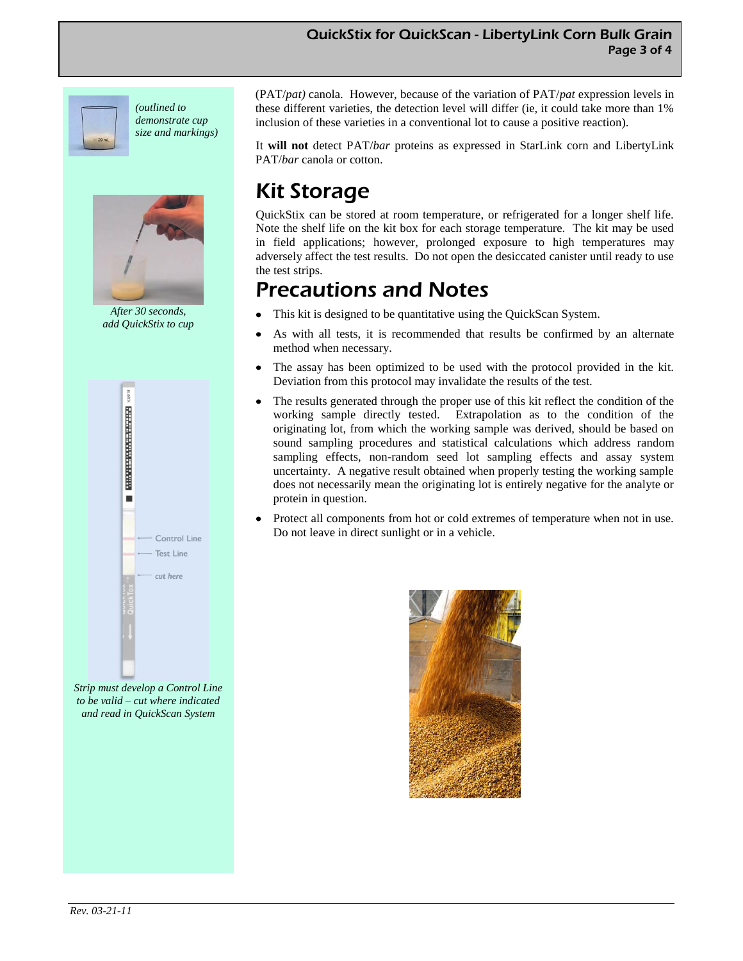#### QuickStix for QuickScan - LibertyLink Corn Bulk Grain Page 3 of 4



*(outlined to demonstrate cup size and markings)*



*After 30 seconds, add QuickStix to cup*



*Strip must develop a Control Line to be valid – cut where indicated and read in QuickScan System* 

(PAT/*pat)* canola. However, because of the variation of PAT/*pat* expression levels in these different varieties, the detection level will differ (ie, it could take more than 1% inclusion of these varieties in a conventional lot to cause a positive reaction).

It **will not** detect PAT/*bar* proteins as expressed in StarLink corn and LibertyLink PAT/*bar* canola or cotton.

# Kit Storage

QuickStix can be stored at room temperature, or refrigerated for a longer shelf life. Note the shelf life on the kit box for each storage temperature. The kit may be used in field applications; however, prolonged exposure to high temperatures may adversely affect the test results. Do not open the desiccated canister until ready to use the test strips.

### Precautions and Notes

- This kit is designed to be quantitative using the QuickScan System.
- As with all tests, it is recommended that results be confirmed by an alternate method when necessary.
- The assay has been optimized to be used with the protocol provided in the kit. Deviation from this protocol may invalidate the results of the test.
- The results generated through the proper use of this kit reflect the condition of the working sample directly tested. Extrapolation as to the condition of the originating lot, from which the working sample was derived, should be based on sound sampling procedures and statistical calculations which address random sampling effects, non-random seed lot sampling effects and assay system uncertainty. A negative result obtained when properly testing the working sample does not necessarily mean the originating lot is entirely negative for the analyte or protein in question.
- Protect all components from hot or cold extremes of temperature when not in use. Do not leave in direct sunlight or in a vehicle.